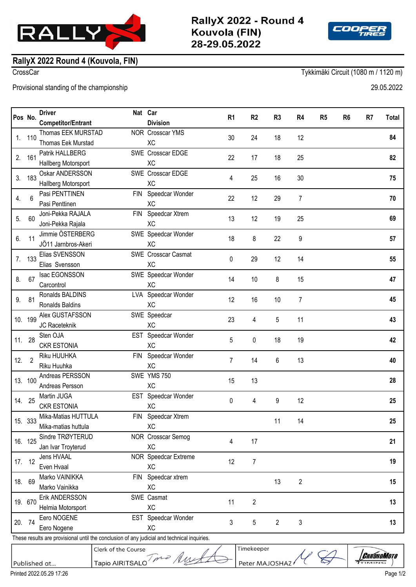



## **RallyX 2022 Round 4 (Kouvola, FIN)**

CrossCar Tykkimäki Circuit (1080 m / 1120 m)

Provisional standing of the championship 29.05.2022

| Pos No.                                                                                     |         | <b>Driver</b>                           | Nat Car                  | R <sub>1</sub> |            | R <sub>2</sub> | R <sub>3</sub><br>R4 |    | R <sub>5</sub> | R <sub>6</sub> | R <sub>7</sub> | <b>Total</b> |
|---------------------------------------------------------------------------------------------|---------|-----------------------------------------|--------------------------|----------------|------------|----------------|----------------------|----|----------------|----------------|----------------|--------------|
|                                                                                             |         | <b>Competitor/Entrant</b>               | <b>Division</b>          |                |            |                |                      |    |                |                |                |              |
| 1.                                                                                          | 110     | Thomas EEK MURSTAD                      | NOR Crosscar YMS         | 30             |            | 24             | 18                   | 12 |                |                |                | 84           |
|                                                                                             |         | Thomas Eek Murstad                      | <b>XC</b>                |                |            |                |                      |    |                |                |                |              |
| 2.                                                                                          | 161     | Patrik HALLBERG                         | SWE Crosscar EDGE        | 22             |            | 17             | 18<br>25             |    |                |                |                | 82           |
|                                                                                             |         | Hallberg Motorsport                     | <b>XC</b>                |                |            |                |                      |    |                |                |                |              |
| 3.                                                                                          | 183     | Oskar ANDERSSON                         | SWE Crosscar EDGE        | 4              |            | 25             | 16<br>30             |    |                |                |                | 75           |
|                                                                                             |         | Hallberg Motorsport                     | <b>XC</b>                |                |            |                |                      |    |                |                |                |              |
| 4.                                                                                          | 6       | Pasi PENTTINEN                          | FIN Speedcar Wonder      | 22             |            | 12             | 29<br>$\overline{7}$ |    |                |                |                | 70           |
|                                                                                             |         | Pasi Penttinen                          | <b>XC</b>                |                |            |                |                      |    |                |                |                |              |
| 5.                                                                                          | 60      | Joni-Pekka RAJALA                       | FIN Speedcar Xtrem       | 13             |            | 12             | 25<br>19             |    |                |                |                | 69           |
|                                                                                             |         | Joni-Pekka Rajala                       | <b>XC</b>                |                |            |                |                      |    |                |                |                |              |
| 6.                                                                                          | 11      | Jimmie ÖSTERBERG                        | SWE Speedcar Wonder      | 18             | 8          |                | 22<br>9              |    |                |                |                | 57           |
|                                                                                             |         | JÖ11 Jarnbros-Akeri                     | <b>XC</b>                |                |            |                |                      |    |                |                |                |              |
| 7.                                                                                          | 133     | Elias SVENSSON                          | SWE Crosscar Casmat      | 0              |            | 29             | 12<br>14             |    |                |                |                | 55           |
|                                                                                             |         | Elias Svensson                          | XC                       |                |            |                |                      |    |                |                |                |              |
| 8.                                                                                          | 67      | Isac EGONSSON                           | SWE Speedcar Wonder      | 14             |            | 10             | 8<br>15              |    |                |                |                | 47           |
|                                                                                             |         | Carcontrol                              | <b>XC</b>                |                |            |                |                      |    |                |                |                |              |
| 9.                                                                                          | 81      | Ronalds BALDINS                         | LVA Speedcar Wonder      | 12             |            | 16             | $\overline{7}$<br>10 |    |                |                |                | 45           |
|                                                                                             |         | Ronalds Baldins                         | <b>XC</b>                |                |            |                |                      |    |                |                |                |              |
|                                                                                             | 10. 199 | Alex GUSTAFSSON                         | SWE Speedcar             | 23             |            | 4              | 5<br>11              |    |                |                |                | 43           |
|                                                                                             |         | JC Raceteknik                           | <b>XC</b>                |                |            |                |                      |    |                |                |                |              |
| 11. 28                                                                                      |         | Sten OJA                                | EST Speedcar Wonder      | 5              |            | 0              | 18<br>19             |    |                |                |                | 42           |
|                                                                                             |         | <b>CKR ESTONIA</b>                      | <b>XC</b>                |                |            |                |                      |    |                |                |                |              |
| 12.2                                                                                        |         | Riku HUUHKA                             | FIN Speedcar Wonder      | 7              |            | 14             | 6<br>13              |    |                |                |                | 40           |
|                                                                                             |         | Riku Huuhka                             | <b>XC</b>                |                |            |                |                      |    |                |                |                |              |
|                                                                                             | 13. 100 | Andreas PERSSON                         | SWE YMS 750              | 15             |            | 13             |                      |    |                |                |                | 28           |
|                                                                                             |         | Andreas Persson                         | XC                       |                |            |                |                      |    |                |                |                |              |
|                                                                                             | 14. 25  | Martin JUGA                             | EST Speedcar Wonder      | 0              |            | 4              | 9                    | 12 |                |                |                | 25           |
|                                                                                             |         | <b>CKR ESTONIA</b>                      | XC                       |                |            |                |                      |    |                |                |                |              |
|                                                                                             | 15. 333 | Mika-Matias HUTTULA                     | FIN Speedcar Xtrem       |                |            |                | 11                   | 14 |                |                |                | 25           |
|                                                                                             |         | Mika-matias huttula<br>Sindre TRØYTERUD | XC<br>NOR Crosscar Semog |                |            |                |                      |    |                |                |                |              |
|                                                                                             | 16. 125 | Jan Ivar Troyterud                      | XC                       | 4              |            | 17             |                      |    |                |                |                | 21           |
| 17. 12                                                                                      |         | Jens HVAAL                              | NOR Speedcar Extreme     |                |            |                |                      |    |                |                |                |              |
|                                                                                             |         | Even Hvaal                              | <b>XC</b>                | 12             |            | $\overline{7}$ |                      |    |                |                |                | 19           |
| 18. 69                                                                                      |         | Marko VAINIKKA                          | FIN Speedcar xtrem       |                |            |                |                      |    |                |                |                |              |
|                                                                                             |         | Marko Vainikka                          | XC                       |                |            |                | $\mathbf{2}$<br>13   |    |                |                |                | 15           |
|                                                                                             | 19. 670 | Erik ANDERSSON                          | SWE Casmat               |                |            |                |                      |    |                |                |                |              |
|                                                                                             |         | Helmia Motorsport                       | XC                       | 11             |            | $\overline{c}$ |                      |    |                |                |                | 13           |
|                                                                                             |         | Eero NOGENE                             | EST Speedcar Wonder      |                |            |                |                      |    |                |                |                |              |
| 20. 74                                                                                      |         | Eero Nogene                             | XC                       | 3              |            | 5              | $\overline{2}$       | 3  |                |                |                | 13           |
| These results are provisional until the conclusion of any judicial and technical inquiries. |         |                                         |                          |                |            |                |                      |    |                |                |                |              |
|                                                                                             |         | Clerk of the Course                     |                          |                | Timekeeper |                |                      |    |                |                |                |              |



Published at..

*Chrónomoto*